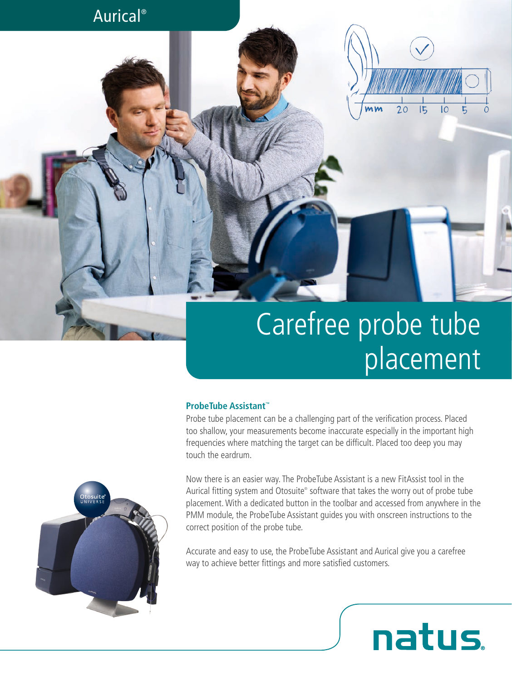## Aurical®



# Carefree probe tube placement

#### **ProbeTube Assistant™**

Probe tube placement can be a challenging part of the verification process. Placed too shallow, your measurements become inaccurate especially in the important high frequencies where matching the target can be difficult. Placed too deep you may touch the eardrum.

Now there is an easier way. The ProbeTube Assistant is a new FitAssist tool in the Aurical fitting system and Otosuite® software that takes the worry out of probe tube placement. With a dedicated button in the toolbar and accessed from anywhere in the PMM module, the ProbeTube Assistant guides you with onscreen instructions to the correct position of the probe tube.

Accurate and easy to use, the ProbeTube Assistant and Aurical give you a carefree way to achieve better fittings and more satisfied customers.

natus.